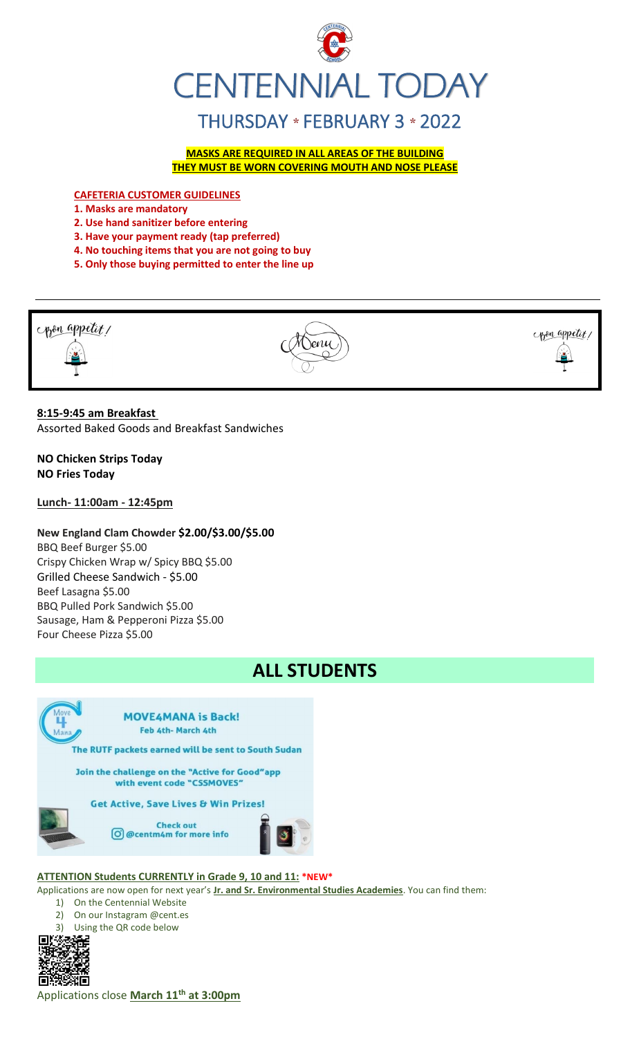

**MASKS ARE REQUIRED IN ALL AREAS OF THE BUILDING THEY MUST BE WORN COVERING MOUTH AND NOSE PLEASE**

**CAFETERIA CUSTOMER GUIDELINES**

**1. Masks are mandatory**

- **2. Use hand sanitizer before entering**
- **3. Have your payment ready (tap preferred)**
- **4. No touching items that you are not going to buy**
- **5. Only those buying permitted to enter the line up**



# **8:15-9:45 am Breakfast**

Assorted Baked Goods and Breakfast Sandwiches

**NO Chicken Strips Today NO Fries Today**

**Lunch- 11:00am - 12:45pm**

# **New England Clam Chowder \$2.00/\$3.00/\$5.00**

BBQ Beef Burger \$5.00 Crispy Chicken Wrap w/ Spicy BBQ \$5.00 Grilled Cheese Sandwich - \$5.00 Beef Lasagna \$5.00 BBQ Pulled Pork Sandwich \$5.00 Sausage, Ham & Pepperoni Pizza \$5.00 Four Cheese Pizza \$5.00



# **ALL STUDENTS**



### **ATTENTION Students CURRENTLY in Grade 9, 10 and 11: \*NEW\***

Applications are now open for next year's **Jr. and Sr. Environmental Studies Academies**. You can find them:

1) On the Centennial Website

- 2) On our Instagram @cent.es
- 3) Using the QR code below



Applications close **March 11th at 3:00pm**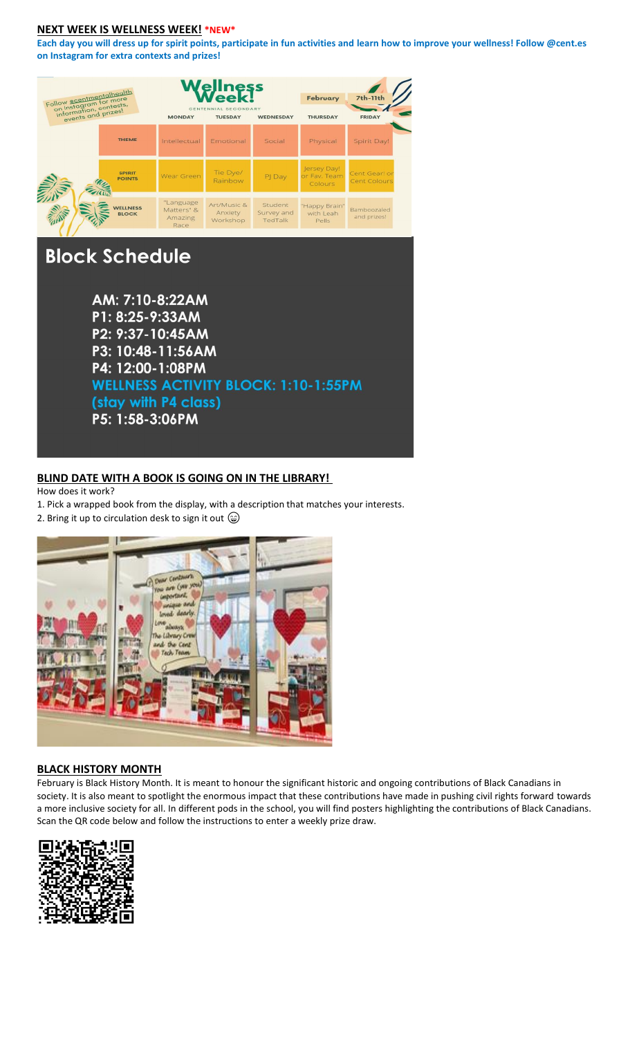### **NEXT WEEK IS WELLNESS WEEK! \*NEW\***

**Each day you will dress up for spirit points, participate in fun activities and learn how to improve your wellness! Follow @cent.es on Instagram for extra contexts and prizes!** 

| Follow acentmentalhealth<br>on Instagram for more<br>information, contests,<br>events and prizes! |                                 | ess<br>CENTENNIAL SECONDARY<br><b>MONDAY</b><br><b>TUESDAY</b><br><b>WEDNESDAY</b> |                                    |                                  | February<br><b>THURSDAY</b>            | <b>7th-11th</b><br><b>FRIDAY</b> |
|---------------------------------------------------------------------------------------------------|---------------------------------|------------------------------------------------------------------------------------|------------------------------------|----------------------------------|----------------------------------------|----------------------------------|
|                                                                                                   | <b>THEME</b>                    | Intellectual                                                                       | Emotional                          | Social                           | Physical                               | Spirit Day!                      |
|                                                                                                   | <b>SPIRIT</b><br><b>POINTS</b>  | Wear Green                                                                         | Tie Dye/<br>Rainbow                | PJ Day                           | Jersey Day!<br>or Fav. Team<br>Colours | Cent Gear! or<br>Cent Colours    |
|                                                                                                   | <b>VELLNESS</b><br><b>BLOCK</b> | "Language<br>Matters" &<br>Amazing<br>Race                                         | Art/Music &<br>Anxiety<br>Workshop | Student<br>Survey and<br>TedTalk | "Happy Brain"<br>with Leah<br>Pells    | Bamboozaled<br>and prizes!       |
| <b>Block Schedule</b>                                                                             |                                 | AM: 7:10-8:22AM<br>P1: 8:25-9:33AM                                                 |                                    |                                  |                                        |                                  |

P3: 10:48-11:56AM P4: 12:00-1:08PM **WELLNESS ACTIVITY BLOCK: 1:10-1:55PM** (stay with P4 class) P5: 1:58-3:06PM

## **BLIND DATE WITH A BOOK IS GOING ON IN THE LIBRARY!**

How does it work?

1. Pick a wrapped book from the display, with a description that matches your interests.

2. Bring it up to circulation desk to sign it out  $\circledcirc$ 



### **BLACK HISTORY MONTH**

February is Black History Month. It is meant to honour the significant historic and ongoing contributions of Black Canadians in society. It is also meant to spotlight the enormous impact that these contributions have made in pushing civil rights forward towards a more inclusive society for all. In different pods in the school, you will find posters highlighting the contributions of Black Canadians. Scan the QR code below and follow the instructions to enter a weekly prize draw.

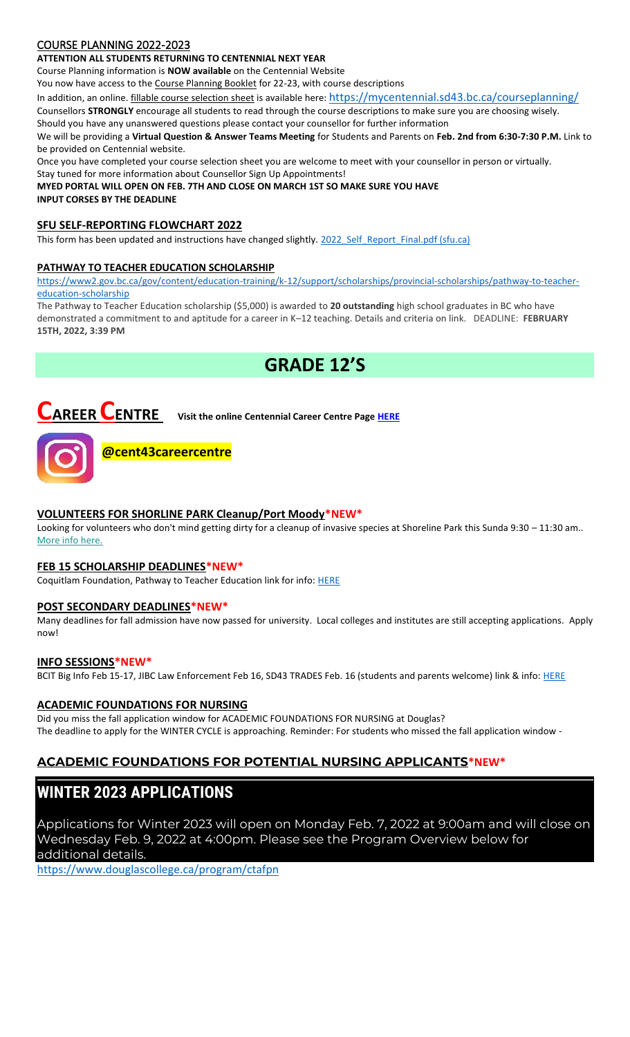# COURSE PLANNING 2022-2023

### **ATTENTION ALL STUDENTS RETURNING TO CENTENNIAL NEXT YEAR**

Course Planning information is **NOW available** on the Centennial Website

You now have access to the Course Planning Booklet for 22-23, with course descriptions

In addition, an online. fillable course selection sheet is available here: <https://mycentennial.sd43.bc.ca/courseplanning/>

Counsellors **STRONGLY** encourage all students to read through the course descriptions to make sure you are choosing wisely. Should you have any unanswered questions please contact your counsellor for further information

We will be providing a **Virtual Question & Answer Teams Meeting** for Students and Parents on **Feb. 2nd from 6:30-7:30 P.M.** Link to be provided on Centennial website.

Once you have completed your course selection sheet you are welcome to meet with your counsellor in person or virtually.

Stay tuned for more information about Counsellor Sign Up Appointments!

**MYED PORTAL WILL OPEN ON FEB. 7TH AND CLOSE ON MARCH 1ST SO MAKE SURE YOU HAVE INPUT CORSES BY THE DEADLINE** 

## **SFU SELF-REPORTING FLOWCHART 2022**

This form has been updated and instructions have changed slightly. 2022 Self\_Report\_Final.pdf (sfu.ca)

## **PATHWAY TO TEACHER EDUCATION SCHOLARSHI[P](file://///d00-v02-p01/Shared_Data/076/Staff_Shared/Office/centennial%20today/Centennial%20Today%202021-2022/January%202022/​https:/www2.gov.bc.ca/gov/content/education-training/k-12/support/scholarships/provincial-scholarships/pathway-to-teacher-education-scholarship)**

[https://www2.gov.bc.ca/gov/content/education-training/k-12/support/scholarships/provincial-scholarships/pathway-to-teacher](file://///d00-v02-p01/Shared_Data/076/Staff_Shared/Office/centennial%20today/Centennial%20Today%202021-2022/January%202022/​https:/www2.gov.bc.ca/gov/content/education-training/k-12/support/scholarships/provincial-scholarships/pathway-to-teacher-education-scholarship)[education-scholarship](file://///d00-v02-p01/Shared_Data/076/Staff_Shared/Office/centennial%20today/Centennial%20Today%202021-2022/January%202022/​https:/www2.gov.bc.ca/gov/content/education-training/k-12/support/scholarships/provincial-scholarships/pathway-to-teacher-education-scholarship)

The Pathway to Teacher Education scholarship (\$5,000) is awarded to **20 outstanding** high school graduates in BC who have demonstrated a commitment to and aptitude for a career in K–12 teaching. Details and criteria on link. DEADLINE: **FEBRUARY 15TH, 2022, 3:39 PM**

# **GRADE 12'S**



**CAREER CENTRE Visit the online Centennial Career Centre Page [HERE](https://www.sd43.bc.ca/school/centennial/ProgramsServices/CareerCentre/experiences/Pages/default.aspx#/=)**



**@cent43careercentre** 

# **VOLUNTEERS FOR SHORLINE PARK Cleanup/Port Moody\*NEW\***

Looking for volunteers who don't mind getting dirty for a cleanup of invasive species at Shoreline Park this Sunda 9:30 – 11:30 am.. [More info here.](https://constellationmedia.lt.acemlna.com/Prod/link-tracker?redirectUrl=aHR0cHMlM0ElMkYlMkZjaXR5b2Zwb3J0bW9vZHkucGVyZmVjdG1pbmQuY29tJTJGQ29udGFjdHMlMkZCb29rTWU0TGFuZGluZ1BhZ2VzJTJGQ291cnNlc0xhbmRpbmdQYWdlJTNGd2lkZ2V0SWQlM0QxNWY2YWYwNy0zOWM1LTQ3M2UtYjA1My05NjY1M2Y3N2E0MDYlMjZyZWRpcmVjdGVkRnJvbUVtYmVkZWRNb2RlJTNERmFsc2UlMjZjb3Vyc2VJZCUzRDkwNmMwOWJmLTYzMTEtNDM3Mi1iOGE0LTI3YTY2NDc4NDRlMiUyNnV0bV9zb3VyY2UlM0RBY3RpdmVDYW1wYWlnbiUyNnV0bV9tZWRpdW0lM0RlbWFpbCUyNnV0bV9jb250ZW50JTNEJTI1RjAlMjU5RiUyNTk3JTI1OUUlMjVFRiUyNUI4JTI1OEYlMkJQb2xpY2UlMkJzZWl6ZSUyQnRocmVlJTJCa2lsb2dyYW1zJTJCb2YlMkJmZW50YW55bCUyNTJDJTJCZ3VucyUyNTJDJTJCY2FzaCUyNnV0bV9jYW1wYWlnbiUzRFRyaUNpdGllcyUyQk5ld3NsZXR0ZXIlMkItJTJCRmVicnVhcnklMkIzJTI1MkMlMkIyMDIy&sig=8yjxzVQmzoChMCy43S69whxHKzN5XSg5KYYcUGcmjLQR&iat=1643896857&a=%7C%7C611165106%7C%7C&account=constellationmedia%2Eactivehosted%2Ecom&email=F3ow2%2BfxB8T0JK4b6K5r%2Fu0And20aucz3E7OHB2EMi4%3D&s=19587f9d542c9e09c0222a756adde827&i=398A719A1A19865) 

## **FEB 15 SCHOLARSHIP DEADLINES\*NEW\***

Coquitlam Foundation, Pathway to Teacher Education link for info: [HERE](https://www.sd43.bc.ca/school/centennial/ProgramsServices/CareerCentre/financeawards/Pages/default.aspx?login=1710981389#/=)

## **POST SECONDARY DEADLINES\*NEW\***

Many deadlines for fall admission have now passed for university. Local colleges and institutes are still accepting applications. Apply now!

### **INFO SESSIONS\*NEW\***

BCIT Big Info Feb 15-17, JIBC Law Enforcement Feb 16, SD43 TRADES Feb. 16 (students and parents welcome) link & info: [HERE](https://www.sd43.bc.ca/school/centennial/ProgramsServices/CareerCentre/postsecondary/Pages/default.aspx#/=)

### **ACADEMIC FOUNDATIONS FOR NURSING**

Did you miss the fall application window for ACADEMIC FOUNDATIONS FOR NURSING at Douglas? The deadline to apply for the WINTER CYCLE is approaching. Reminder: For students who missed the fall application window -

# **ACADEMIC FOUNDATIONS FOR POTENTIAL NURSING APPLICANTS\*NEW\***

# **WINTER 2023 APPLICATIONS**

Applications for Winter 2023 will open on Monday Feb. 7, 2022 at 9:00am and will close on Wednesday Feb. 9, 2022 at 4:00pm. Please see the Program Overview below for additional details.

<https://www.douglascollege.ca/program/ctafpn>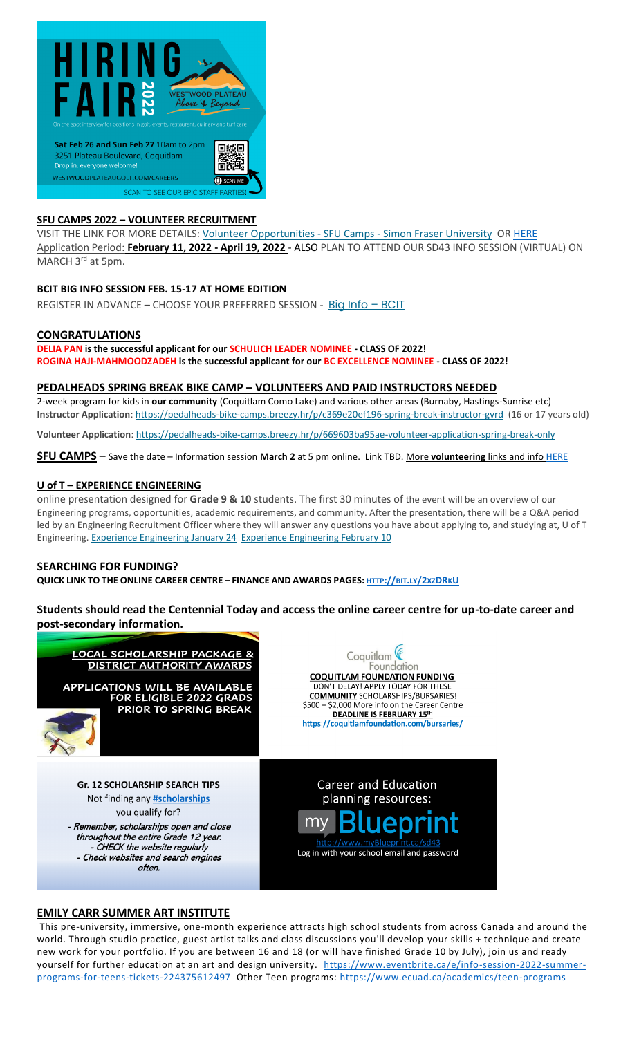

### **SFU CAMPS 2022 – VOLUNTEER RECRUITMENT**

VISIT THE LINK FOR MORE DETAILS: [Volunteer Opportunities -](https://www.sfu.ca/camps/opportunities/volunteer-opportunities.html) SFU Camps - Simon Fraser University O[R HERE](https://www.sd43.bc.ca/school/centennial/ProgramsServices/CareerCentre/experiences/Pages/default.aspx#/=) Application Period: **February 11, 2022 - April 19, 2022** - ALSO PLAN TO ATTEND OUR SD43 INFO SESSION (VIRTUAL) ON MARCH 3<sup>rd</sup> at 5pm.

### **BCIT BIG INFO SESSION FEB. 15-17 AT HOME EDITION**

REGISTER IN ADVANCE - CHOOSE YOUR PREFERRED SESSION - [Big Info](https://www.bcit.ca/about/visit/big-info/?utm_source=mailchimp&utm_medium=newsletter&utm_campaign=january_2022&utm_content=link&mc_cid=88e1fa3e19&mc_eid=b29846f095) - BCIT

### **CONGRATULATIONS**

**DELIA PAN is the successful applicant for our SCHULICH LEADER NOMINEE - CLASS OF 2022! ROGINA HAJI-MAHMOODZADEH is the successful applicant for our BC EXCELLENCE NOMINEE - CLASS OF 2022!**

### **PEDALHEADS SPRING BREAK BIKE CAMP – VOLUNTEERS AND PAID INSTRUCTORS NEEDED**

2-week program for kids in **our community** (Coquitlam Como Lake) and various other areas (Burnaby, Hastings-Sunrise etc) **Instructor Application**: <https://pedalheads-bike-camps.breezy.hr/p/c369e20ef196-spring-break-instructor-gvrd> (16 or 17 years old)

**Volunteer Application**: <https://pedalheads-bike-camps.breezy.hr/p/669603ba95ae-volunteer-application-spring-break-only>

**SFU CAMPS** – Save the date – Information session **March 2** at 5 pm online. Link TBD. More **volunteering** links and inf[o HERE](https://www.sd43.bc.ca/school/centennial/ProgramsServices/CareerCentre/experiences/Pages/default.aspx#/=)

### **U of T – EXPERIENCE ENGINEERING**

online presentation designed for **Grade 9 & 10** students. The first 30 minutes of the event will be an overview of our Engineering programs, opportunities, academic requirements, and community. After the presentation, there will be a Q&A period led by an Engineering Recruitment Officer where they will answer any questions you have about applying to, and studying at, U of T Engineering. [Experience Engineering January 24](https://mx.technolutions.net/ss/c/VpDhrCrvzjOrNk6AZ3TbHjFLbqWBZPhhofjteQ2YNx82CaUosH1dcVhwZYliQGg4LodzrCTUhYiBkw6Ko3NtJIHCxKsCheWwO4eDC-c9-uEgVXceg-A3u70J_fqxc4oC/3ii/MC36Lg_wRemt_1hhGMiWuw/h3/GjcAeo9QXoWr1XV6hrJZjEftlryhxpjcwjLmCThjNFw) [Experience Engineering February 10](https://mx.technolutions.net/ss/c/VpDhrCrvzjOrNk6AZ3TbHjFLbqWBZPhhofjteQ2YNx82CaUosH1dcVhwZYliQGg4OD9wTrVg10tpHQzkEA3IAd72RaWVObQIok9KwxoTNwyKXtLxiphIStvILtkkXXix/3ii/MC36Lg_wRemt_1hhGMiWuw/h4/4zI1pGYwxMYJjKOcYRi4jhaCYeMOs8e8RCafTdGIlso)

### **SEARCHING FOR FUNDING?**

QUICK LINK TO THE ONLINE CAREER CENTRE - FINANCE AND AWARDS PAGES: [HTTP](http://bit.ly/2xzDRkU)://BIT.LY/2xzDRKU

**Students should read the Centennial Today and access the online career centre for up-to-date career and post-secondary information.**



### **EMILY CARR SUMMER ART INSTITUTE**

This pre-university, immersive, one-month experience attracts high school students from across Canada and around the world. Through studio practice, guest artist talks and class discussions you'll develop your skills + technique and create new work for your portfolio. If you are between 16 and 18 (or will have finished Grade 10 by July), join us and ready yourself for further education at an art and design university. [https://www.eventbrite.ca/e/info-session-2022-summer-](https://www.eventbrite.ca/e/info-session-2022-summer-programs-for-teens-tickets-224375612497)